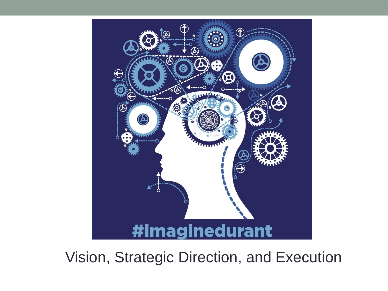

Vision, Strategic Direction, and Execution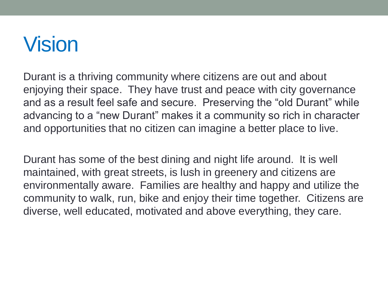# Vision

Durant is a thriving community where citizens are out and about enjoying their space. They have trust and peace with city governance and as a result feel safe and secure. Preserving the "old Durant" while advancing to a "new Durant" makes it a community so rich in character and opportunities that no citizen can imagine a better place to live.

Durant has some of the best dining and night life around. It is well maintained, with great streets, is lush in greenery and citizens are environmentally aware. Families are healthy and happy and utilize the community to walk, run, bike and enjoy their time together. Citizens are diverse, well educated, motivated and above everything, they care.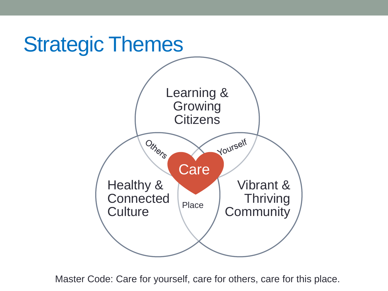

Master Code: Care for yourself, care for others, care for this place.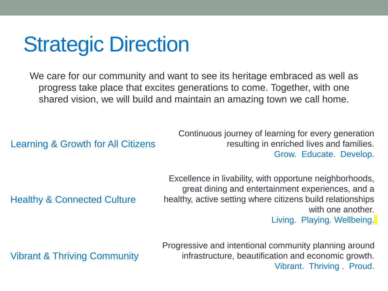# **Strategic Direction**

We care for our community and want to see its heritage embraced as well as progress take place that excites generations to come. Together, with one shared vision, we will build and maintain an amazing town we call home.

Learning & Growth for All Citizens

Continuous journey of learning for every generation resulting in enriched lives and families. Grow. Educate. Develop.

### Healthy & Connected Culture

Excellence in livability, with opportune neighborhoods, great dining and entertainment experiences, and a healthy, active setting where citizens build relationships with one another Living. Playing. Wellbeing.

Progressive and intentional community planning around infrastructure, beautification and economic growth. Vibrant. Thriving . Proud.

Vibrant & Thriving Community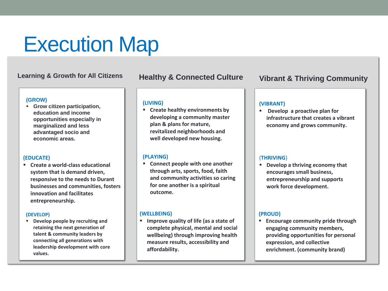# Execution Map

### **(GROW)**

 **Grow citizen participation, education and income opportunities especially in marginalized and less advantaged socio and economic areas.**

### **(EDUCATE)**

 **Create a world-class educational system that is demand driven, responsive to the needs to Durant businesses and communities, fosters innovation and facilitates entrepreneurship.** 

### **(DEVELOP)**

 **Develop people by recruiting and retaining the next generation of talent & community leaders by connecting all generations with leadership development with core values.**

### **Learning & Growth for All Citizens Healthy & Connected Culture Vibrant & Thriving Community Healthy & Connected Culture**

### **(LIVING)**

 **Create healthy environments by developing a community master plan & plans for mature, revitalized neighborhoods and well developed new housing.**

### **(PLAYING)**

 **Connect people with one another through arts, sports, food, faith and community activities so caring for one another is a spiritual outcome.**

### **(WELLBEING)**

 **Improve quality of life (as a state of complete physical, mental and social wellbeing) through improving health measure results, accessibility and affordability.** 

### **(VIBRANT)**

 **Develop a proactive plan for infrastructure that creates a vibrant economy and grows community.**

### (**THRIVING**)

 **Develop a thriving economy that encourages small business, entrepreneurship and supports work force development.**

### **(PROUD)**

 **Encourage community pride through engaging community members, providing opportunities for personal expression, and collective enrichment. (community brand)**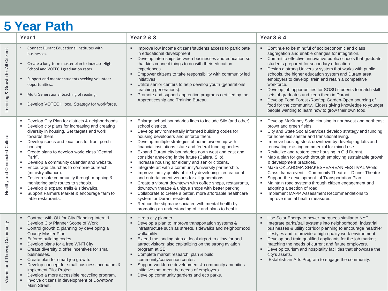# **5 Year Path**

|                                    | Year 1                                                                                                                                                                                                                                                                                                                                                                                                                                                                                                                                                                                                                                                                         | <b>Year 2 &amp; 3</b>                                                                                                                                                                                                                                                                                                                                                                                                                                                                                                                                                                                                                                                                                                                                                                                                                                                                                                                                                                                                                                | <b>Year 3 &amp; 4</b>                                                                                                                                                                                                                                                                                                                                                                                                                                                                                                                                                                                                                                                                                                                                                                                                                                                                |
|------------------------------------|--------------------------------------------------------------------------------------------------------------------------------------------------------------------------------------------------------------------------------------------------------------------------------------------------------------------------------------------------------------------------------------------------------------------------------------------------------------------------------------------------------------------------------------------------------------------------------------------------------------------------------------------------------------------------------|------------------------------------------------------------------------------------------------------------------------------------------------------------------------------------------------------------------------------------------------------------------------------------------------------------------------------------------------------------------------------------------------------------------------------------------------------------------------------------------------------------------------------------------------------------------------------------------------------------------------------------------------------------------------------------------------------------------------------------------------------------------------------------------------------------------------------------------------------------------------------------------------------------------------------------------------------------------------------------------------------------------------------------------------------|--------------------------------------------------------------------------------------------------------------------------------------------------------------------------------------------------------------------------------------------------------------------------------------------------------------------------------------------------------------------------------------------------------------------------------------------------------------------------------------------------------------------------------------------------------------------------------------------------------------------------------------------------------------------------------------------------------------------------------------------------------------------------------------------------------------------------------------------------------------------------------------|
| Learning & Growth for All Citizens | Connect Durant Educational institutes with<br>businesses.<br>Create a long-term master plan to increase High<br>٠<br>School and VOTECH graduation rates<br>Support and mentor students seeking volunteer<br>$\blacksquare$<br>opportunities<br>Multi Generational teaching of reading.<br>$\blacksquare$<br>Develop VOTECH local Strategy for workforce.<br>$\blacksquare$                                                                                                                                                                                                                                                                                                     | Improve low income citizens/students access to participate<br>in educational development.<br>Develop internships between businesses and education so<br>$\blacksquare$<br>that kids connect things to do with their education<br>experiences.<br>Empower citizens to take responsibility with community led<br>$\blacksquare$<br>initiatives.<br>Utilize senior centers to help develop youth (generations<br>$\mathbf{r}$<br>teaching generations).<br>Promote and support apprentice programs certified by the<br>$\blacksquare$<br>Apprenticeship and Training Bureau.                                                                                                                                                                                                                                                                                                                                                                                                                                                                            | • Continue to be mindful of socioeconomic and class<br>segregation and enable changes for integration.<br>Commit to effective, innovative public schools that graduate<br>$\mathbf{r}$ .<br>students prepared for secondary education.<br>Design a strong University system that works with public<br>$\blacksquare$<br>schools, the higher education system and Durant area<br>employers to develop, train and retain a competitive<br>workforce.<br>Develop job opportunities for SOSU students to match skill<br>$\blacksquare$<br>sets of graduates and keep them in Durant.<br>Develop Food Forest / Rooftop Garden-Open sourcing of<br>food for the community. Elders giving knowledge to younger<br>people wanting to learn how to grow their own food.                                                                                                                       |
| Healthy and Connected Culture      | Develop City Plan for districts & neighborhoods.<br>Develop city plans for increasing and creating<br>$\blacksquare$<br>diversity in housing. Set targets and work<br>towards them.<br>Develop specs and locations for front porch<br>٠<br>housing.<br>Create plans to develop world class "Central<br>$\blacksquare$<br>Park".<br>Develop a community calendar and website.<br>$\blacksquare$<br>Encourage churches to combine outreach<br>٠<br>(ministry alliance).<br>Foster a safe community through mapping &<br>٠<br>monitoring safe routes to schools.<br>Develop & expand trails & sidewalks.<br>Support Farmers Market & encourage farm to<br>٠<br>table restaurants. | Enlarge school boundaries lines to include Silo (and other)<br>school districts.<br>Develop environmentally informed building codes for<br>٠<br>housing developers and enforce them.<br>Develop multiple strategies of home ownership with<br>٠<br>financial institutions, state and federal funding bodies.<br>Expand Durant city boundaries north west and east and<br>ж.<br>consider annexing in the future (Calera, Silo).<br>Increase housing for elderly and senior citizens.<br>٠<br>Integrate art with a community/university partnership.<br>٠<br>Improve family quality of life by developing recreational<br>ж.<br>and entertainment venues for all generations.<br>Create a vibrant downtown with coffee shops, restaurants,<br>$\mathbf{m}$<br>downtown theatre & unique shops with better parking.<br>Collaborate to create a better, more affordable healthcare<br>$\mathbf{R}$<br>system for Durant residents.<br>Reduce the stigma associated with mental health by<br>л.<br>promoting an understanding of it and plans to heal it. | Develop McKinney Style Housing in northwest and northeast<br>brown and green fields.<br>City and State Social Services develop strategy and funding<br>٠<br>for homeless shelter and transitional living.<br>Improve housing stock downtown by developing lofts and<br>٠<br>renovating existing commercial for mixed use.<br>Revitalize and restore core housing in Old Durant.<br>$\blacksquare$<br>Map a plan for growth through employing sustainable growth<br>٠<br>& development practices.<br>Make OKLAHOMA SHAKESPEAREAN FESTIVAL World<br>$\blacksquare$<br>Class drama event - Community Theatre - Dinner Theatre<br>Support the development of Transportation Plan.<br>٠<br>Maintain road systems through citizen engagement and<br>$\blacksquare$<br>adopting a section of road.<br>Implement MAPP Assessment Recommendations to<br>п.<br>improve mental health measures. |
| Vibrant and Thriving Community     | Contract with OU for City Planning Intern &<br>$\blacksquare$<br>Develop City Planner Scope of Work<br>Control growth & planning by developing a<br>٠<br>County Master Plan.<br>Enforce building codes.<br>$\blacksquare$<br>Develop plans for a free Wi-Fi City<br>Create diversity & offer incentives for small<br>businesses.<br>Create plan for smart job growth.<br>Develop concept for small business incubators &<br>implement Pilot Project.<br>Develop a more accessible recycling program.<br>Involve citizens in development of Downtown<br>Main Street.                                                                                                            | Hire a city planner<br>٠<br>Develop a plan to Improve transportation systems &<br>infrastructure such as streets, sidewalks and neighborhood<br>walkability.<br>Extend the landing strip at local airport to allow for and<br>$\blacksquare$<br>attract visitors; also capitalizing on the strong aviation<br>program at SE.<br>Complete market research, plan & build<br>$\mathbf{r}$<br>community/convention center.<br>" Support workforce development & community amenities<br>initiative that meet the needs of employers.<br>Develop community gardens and eco parks.<br>$\blacksquare$                                                                                                                                                                                                                                                                                                                                                                                                                                                        | Use Solar Energy to power marquees similar to NYC.<br>٠<br>Integrate parks/trail systems into neighborhood, industrial,<br>٠<br>businesses & utility corridor planning to encourage healthier<br>lifestyles and to provide a high-quality work environment.<br>Develop and train qualified applicants for the job market;<br>$\blacksquare$<br>matching the needs of current and future employers.<br>Develop tourism and hospitality facilities that showcase the<br>$\blacksquare$<br>city's assets.<br>Establish an Arts Program to engage the community.<br>٠                                                                                                                                                                                                                                                                                                                    |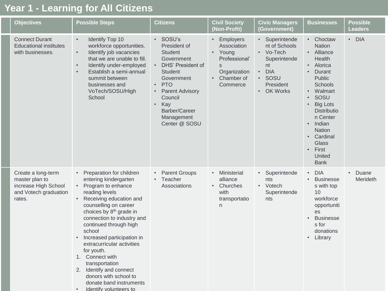## **Year 1 - Learning for All Citizens**

| <b>Objectives</b>                                                                               | <b>Possible Steps</b>                                                                                                                                                                                                                                                                                                                                                                                                                                                          | <b>Citizens</b>                                                                                                                                                                                                                                                                        | <b>Civil Society</b><br>(Non-Profit)                                                                  | <b>Civic Managers</b><br>(Government)                                                                                                                               | <b>Businesses</b>                                                                                                                                                                                                                                                                                        | <b>Possible</b><br><b>Leaders</b> |
|-------------------------------------------------------------------------------------------------|--------------------------------------------------------------------------------------------------------------------------------------------------------------------------------------------------------------------------------------------------------------------------------------------------------------------------------------------------------------------------------------------------------------------------------------------------------------------------------|----------------------------------------------------------------------------------------------------------------------------------------------------------------------------------------------------------------------------------------------------------------------------------------|-------------------------------------------------------------------------------------------------------|---------------------------------------------------------------------------------------------------------------------------------------------------------------------|----------------------------------------------------------------------------------------------------------------------------------------------------------------------------------------------------------------------------------------------------------------------------------------------------------|-----------------------------------|
| <b>Connect Durant</b><br><b>Educational institutes</b><br>with businesses.                      | Identify Top 10<br>$\bullet$<br>workforce opportunities.<br>Identify job vacancies<br>$\bullet$<br>that we are unable to fill.<br>Identify under-employed<br>$\bullet$<br>Establish a semi-annual<br>summit between<br>businesses and<br>VoTech/SOSU/High<br>School                                                                                                                                                                                                            | SOSU's<br>$\bullet$<br>President of<br><b>Student</b><br>Government<br>DHS' President of<br>$\bullet$<br><b>Student</b><br>Government<br><b>PTO</b><br>$\bullet$<br><b>Parent Advisory</b><br>$\bullet$<br>Council<br>Kay<br>$\bullet$<br>Barber/Career<br>Management<br>Center @ SOSU | • Employers<br>Association<br>• Young<br>Professional'<br>S<br>Organization<br>Chamber of<br>Commerce | • Superintende<br>nt of Schools<br>• Vo-Tech<br>Superintende<br>nt<br><b>DIA</b><br>$\bullet$ .<br>SOSU<br>$\bullet$ .<br>President<br><b>OK Works</b><br>$\bullet$ | • Choctaw<br><b>Nation</b><br>• Alliance<br>Health<br>• Alorica<br>Durant<br><b>Public</b><br><b>Schools</b><br>• Walmart<br>SOSU<br><b>Big Lots</b><br>Distributio<br>n Center<br>Indian<br>$\bullet$<br><b>Nation</b><br>Cardinal<br>$\bullet$<br>Glass<br>First<br>$\bullet$<br>United<br><b>Bank</b> | • DIA                             |
| Create a long-term<br>master plan to<br>increase High School<br>and Votech graduation<br>rates. | Preparation for children<br>entering kindergarten<br>Program to enhance<br>reading levels<br>Receiving education and<br>counselling on career<br>choices by 8 <sup>th</sup> grade in<br>connection to industry and<br>continued through high<br>school<br>Increased participation in<br>extracurricular activities<br>for youth.<br>1. Connect with<br>transportation<br>2. Identify and connect<br>donors with school to<br>donate band instruments<br>Identify volunteers to | <b>Parent Groups</b><br>$\bullet$<br>Teacher<br>Associations                                                                                                                                                                                                                           | Ministerial<br>$\bullet$<br>alliance<br>Churches<br>with<br>transportatio<br>n                        | Superintende<br>nts<br>• Votech<br>Superintende<br>nts                                                                                                              | <b>DIA</b><br>$\bullet$<br><b>Businesse</b><br>s with top<br>10<br>workforce<br>opportuniti<br>es<br><b>Businesse</b><br>$\bullet$<br>s for<br>donations<br>Library                                                                                                                                      | Duane<br>Merideth                 |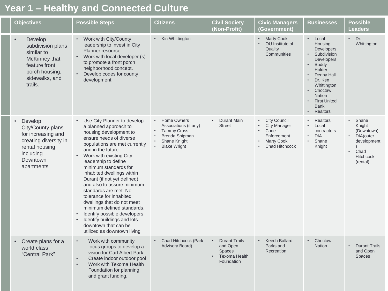## **Year 1 – Healthy and Connected Culture**

| <b>Objectives</b>                                                                                                                                 | <b>Possible Steps</b>                                                                                                                                                                                                                                                                                                                                                                                                                                                                                                                                                          | <b>Citizens</b>                                                                                                                                                   | <b>Civil Society</b><br>(Non-Profit)                                             | <b>Civic Managers</b><br>(Government)                                                             | <b>Businesses</b>                                                                                                                                                                                                                                                | Possible<br><b>Leaders</b>                                                                                                  |
|---------------------------------------------------------------------------------------------------------------------------------------------------|--------------------------------------------------------------------------------------------------------------------------------------------------------------------------------------------------------------------------------------------------------------------------------------------------------------------------------------------------------------------------------------------------------------------------------------------------------------------------------------------------------------------------------------------------------------------------------|-------------------------------------------------------------------------------------------------------------------------------------------------------------------|----------------------------------------------------------------------------------|---------------------------------------------------------------------------------------------------|------------------------------------------------------------------------------------------------------------------------------------------------------------------------------------------------------------------------------------------------------------------|-----------------------------------------------------------------------------------------------------------------------------|
| Develop<br>$\bullet$<br>subdivision plans<br>similar to<br>McKinney that<br>feature front<br>porch housing,<br>sidewalks, and<br>trails.          | • Work with City/County<br>leadership to invest in City<br>Planner resource<br>Work with local developer (s)<br>to promote a front porch<br>neighborhood concept.<br>Develop codes for county<br>development                                                                                                                                                                                                                                                                                                                                                                   | Kin Whittington                                                                                                                                                   |                                                                                  | <b>Marty Cook</b><br>$\bullet$<br>OU Institute of<br>Quality<br>Communities                       | Local<br>Housing<br><b>Developers</b><br>Subdivision<br>Developers<br><b>Buddy</b><br>Holder<br>Denny Hall<br>Dr. Ken<br>Whittington<br>Choctaw<br>$\bullet$<br><b>Nation</b><br><b>First United</b><br>$\bullet$<br><b>Bank</b><br><b>Realtors</b><br>$\bullet$ | Dr.<br>$\bullet$<br>Whittington                                                                                             |
| Develop<br>$\bullet$<br>City/County plans<br>for increasing and<br>creating diversity in<br>rental housing<br>including<br>Downtown<br>apartments | Use City Planner to develop<br>a planned approach to<br>housing development to<br>ensure needs of diverse<br>populations are met currently<br>and in the future.<br>Work with existing City<br>leadership to define<br>minimum standards for<br>inhabited dwellings within<br>Durant (if not yet defined),<br>and also to assure minimum<br>standards are met. No<br>tolerance for inhabited<br>dwellings that do not meet<br>minimum defined standards.<br>Identify possible developers<br>Identify buildings and lots<br>downtown that can be<br>utilized as downtown living | Home Owners<br>$\bullet$<br>Associations (if any)<br><b>Tammy Cross</b><br><b>Brenda Shipman</b><br>$\bullet$<br>Shane Knight<br>$\bullet$<br><b>Blake Wright</b> | <b>Durant Main</b><br><b>Street</b>                                              | <b>City Council</b><br><b>City Manager</b><br>Code<br>Enforcement<br>Marty Cook<br>Chad Hitchcock | <b>Realtors</b><br>Local<br>contractors<br><b>DIA</b><br>Shane<br>Knight                                                                                                                                                                                         | Shane<br>Knight<br>(Downtown)<br>DIA(outer<br>$\bullet$<br>development<br>Chad<br>$\bullet$<br><b>Hitchcock</b><br>(rental) |
| Create plans for a<br>$\bullet$<br>world class<br>"Central Park"                                                                                  | Work with community<br>$\bullet$<br>focus groups to develop a<br>vision for Carl Albert Park.<br>Create indoor outdoor pool<br>$\bullet$<br>Work with Texoma Health<br>Foundation for planning<br>and grant funding.                                                                                                                                                                                                                                                                                                                                                           | Chad Hitchcock (Park<br>Advisory Board)                                                                                                                           | <b>Durant Trails</b><br>and Open<br>Spaces<br><b>Texoma Health</b><br>Foundation | Keech Ballard,<br>$\bullet$<br>Parks and<br>Recreation                                            | Choctaw<br><b>Nation</b>                                                                                                                                                                                                                                         | <b>Durant Trails</b><br>and Open<br><b>Spaces</b>                                                                           |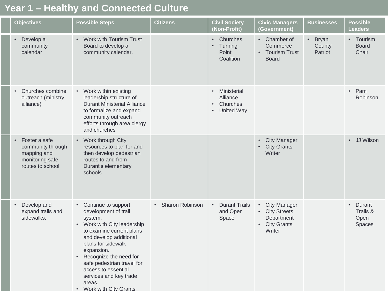## Year 1 - Healthy and Connected Culture

| <b>Objectives</b>                  |                                                                                          | <b>Possible Steps</b>                                                                                                                                                                                                                                                                                                                        | <b>Citizens</b>              | <b>Civil Society</b><br>(Non-Profit)                                  | <b>Civic Managers</b><br>(Government)                                                       | <b>Businesses</b>            | <b>Possible</b><br><b>Leaders</b>             |
|------------------------------------|------------------------------------------------------------------------------------------|----------------------------------------------------------------------------------------------------------------------------------------------------------------------------------------------------------------------------------------------------------------------------------------------------------------------------------------------|------------------------------|-----------------------------------------------------------------------|---------------------------------------------------------------------------------------------|------------------------------|-----------------------------------------------|
| Develop a<br>$\bullet$<br>calendar | community                                                                                | • Work with Tourism Trust<br>Board to develop a<br>community calendar.                                                                                                                                                                                                                                                                       |                              | • Churches<br>• Turning<br>Point<br>Coalition                         | • Chamber of<br>Commerce<br>• Tourism Trust<br><b>Board</b>                                 | • Bryan<br>County<br>Patriot | • Tourism<br><b>Board</b><br>Chair            |
| $\bullet$<br>alliance)             | Churches combine<br>outreach (ministry                                                   | • Work within existing<br>leadership structure of<br><b>Durant Ministerial Alliance</b><br>to formalize and expand<br>community outreach<br>efforts through area clergy<br>and churches                                                                                                                                                      |                              | Ministerial<br>$\bullet$<br>Alliance<br>Churches<br><b>United Way</b> |                                                                                             |                              | Pam<br>$\bullet$<br>Robinson                  |
| $\bullet$                          | Foster a safe<br>community through<br>mapping and<br>monitoring safe<br>routes to school | Work through City<br>resources to plan for and<br>then develop pedestrian<br>routes to and from<br>Durant's elementary<br>schools                                                                                                                                                                                                            |                              |                                                                       | <b>City Manager</b><br>$\bullet$<br><b>City Grants</b><br>$\bullet$<br>Writer               |                              | • JJ Wilson                                   |
| $\bullet$<br>sidewalks.            | Develop and<br>expand trails and                                                         | Continue to support<br>$\bullet$ .<br>development of trail<br>system.<br>• Work with City leadership<br>to examine current plans<br>and develop additional<br>plans for sidewalk<br>expansion.<br>Recognize the need for<br>safe pedestrian travel for<br>access to essential<br>services and key trade<br>areas.<br>• Work with City Grants | Sharon Robinson<br>$\bullet$ | <b>Durant Trails</b><br>and Open<br>Space                             | • City Manager<br>• City Streets<br>Department<br><b>City Grants</b><br>$\bullet$<br>Writer |                              | • Durant<br>Trails &<br>Open<br><b>Spaces</b> |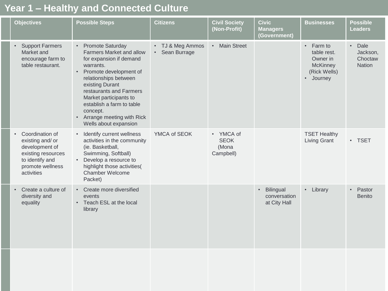# **2017 Plan Year 1 – Healthy and Connected Culture**

| <b>Objectives</b>                                                                                                                | <b>Possible Steps</b>                                                                                                                                                                                                                                                                                                                      | <b>Citizens</b>                                          | <b>Civil Society</b><br>(Non-Profit)                        | <b>Civic</b><br><b>Managers</b><br>(Government)        | <b>Businesses</b>                                                                             | <b>Possible</b><br><b>Leaders</b>                         |
|----------------------------------------------------------------------------------------------------------------------------------|--------------------------------------------------------------------------------------------------------------------------------------------------------------------------------------------------------------------------------------------------------------------------------------------------------------------------------------------|----------------------------------------------------------|-------------------------------------------------------------|--------------------------------------------------------|-----------------------------------------------------------------------------------------------|-----------------------------------------------------------|
| <b>Support Farmers</b><br>Market and<br>encourage farm to<br>table restaurant.                                                   | Promote Saturday<br>$\bullet$<br>Farmers Market and allow<br>for expansion if demand<br>warrants.<br>Promote development of<br>$\bullet$<br>relationships between<br>existing Durant<br>restaurants and Farmers<br>Market participants to<br>establish a farm to table<br>concept.<br>• Arrange meeting with Rick<br>Wells about expansion | TJ & Meg Ammos<br>$\bullet$<br>Sean Burrage<br>$\bullet$ | <b>Main Street</b><br>$\bullet$ .                           |                                                        | Farm to<br>$\bullet$<br>table rest.<br>Owner in<br><b>McKinney</b><br>(Rick Wells)<br>Journey | Dale<br>$\bullet$<br>Jackson,<br>Choctaw<br><b>Nation</b> |
| Coordination of<br>existing and/ or<br>development of<br>existing resources<br>to identify and<br>promote wellness<br>activities | Identify current wellness<br>$\bullet$<br>activities in the community<br>(ie. Basketball,<br>Swimming, Softball)<br>Develop a resource to<br>$\bullet$ .<br>highlight those activities(<br><b>Chamber Welcome</b><br>Packet)                                                                                                               | YMCA of SEOK                                             | YMCA of<br>$\bullet$ .<br><b>SEOK</b><br>(Mona<br>Campbell) |                                                        | <b>TSET Healthy</b><br><b>Living Grant</b>                                                    | $\cdot$ TSET                                              |
| Create a culture of<br>diversity and<br>equality                                                                                 | • Create more diversified<br>events<br>• Teach ESL at the local<br>library                                                                                                                                                                                                                                                                 |                                                          |                                                             | Bilingual<br>$\bullet$<br>conversation<br>at City Hall | • Library                                                                                     | Pastor<br>$\bullet$<br><b>Benito</b>                      |
|                                                                                                                                  |                                                                                                                                                                                                                                                                                                                                            |                                                          |                                                             |                                                        |                                                                                               |                                                           |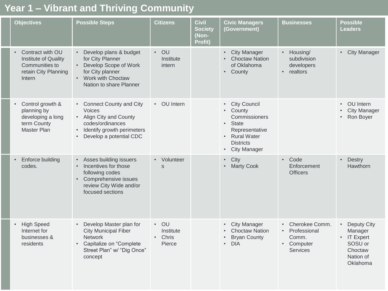## Year 1 - Vibrant and Thriving Community

| <b>Objectives</b>                                                                            | <b>Possible Steps</b>                                                                                                                                                   | <b>Citizens</b>                            | <b>Civil</b><br><b>Society</b><br>(Non-<br>Profit) | <b>Civic Managers</b><br>(Government)                                                                                                                                                                 | <b>Businesses</b>                                                          | <b>Possible</b><br><b>Leaders</b>                                                                 |
|----------------------------------------------------------------------------------------------|-------------------------------------------------------------------------------------------------------------------------------------------------------------------------|--------------------------------------------|----------------------------------------------------|-------------------------------------------------------------------------------------------------------------------------------------------------------------------------------------------------------|----------------------------------------------------------------------------|---------------------------------------------------------------------------------------------------|
| Contract with OU<br>Institute of Quality<br>Communities to<br>retain City Planning<br>Intern | Develop plans & budget<br>$\bullet$ .<br>for City Planner<br>• Develop Scope of Work<br>for City planner<br>Work with Choctaw<br>$\bullet$ .<br>Nation to share Planner | $\cdot$ OU<br>Institute<br>intern          |                                                    | <b>City Manager</b><br>$\bullet$<br><b>Choctaw Nation</b><br>$\bullet$<br>of Oklahoma<br>County<br>$\bullet$                                                                                          | • Housing/<br>subdivision<br>developers<br>realtors<br>$\bullet$           | • City Manager                                                                                    |
| Control growth &<br>planning by<br>developing a long<br>term County<br>Master Plan           | • Connect County and City<br>Voices<br>• Align City and County<br>codes/ordinances<br>• Identify growth perimeters<br>Develop a potential CDC                           | • OU Intern                                |                                                    | <b>City Council</b><br>$\bullet$<br>County<br>$\bullet$<br>Commissioners<br><b>State</b><br>$\bullet$<br>Representative<br><b>Rural Water</b><br><b>Districts</b><br><b>City Manager</b><br>$\bullet$ |                                                                            | OU Intern<br>$\bullet$<br><b>City Manager</b><br>Ron Boyer                                        |
| Enforce building<br>codes.                                                                   | Asses building issuers<br>Incentives for those<br>$\bullet$<br>following codes<br>Comprehensive issues<br>review City Wide and/or<br>focused sections                   | • Volunteer<br>S                           |                                                    | City<br>$\bullet$<br><b>Marty Cook</b><br>$\bullet$                                                                                                                                                   | Code<br>$\bullet$<br>Enforcement<br><b>Officers</b>                        | Destry<br>$\bullet$<br>Hawthorn                                                                   |
| <b>High Speed</b><br>Internet for<br>businesses &<br>residents                               | Develop Master plan for<br><b>City Municipal Fiber</b><br><b>Network</b><br>Capitalize on "Complete<br>Street Plan" w/ "Dig Once"<br>concept                            | $\cdot$ OU<br>Institute<br>Chris<br>Pierce |                                                    | <b>City Manager</b><br>$\bullet$<br><b>Choctaw Nation</b><br><b>Bryan County</b><br><b>DIA</b><br>$\bullet$                                                                                           | Cherokee Comm.<br>• Professional<br>Comm.<br>• Computer<br><b>Services</b> | Deputy City<br>$\bullet$<br>Manager<br>• IT Expert<br>SOSU or<br>Choctaw<br>Nation of<br>Oklahoma |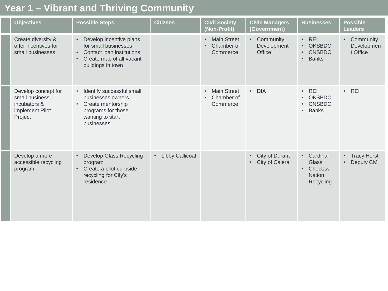## Year 1 - Vibrant and Thriving Community

| <b>Objectives</b>                                                                   | <b>Possible Steps</b>                                                                                                                      | <b>Citizens</b>                     | <b>Civil Society</b><br>(Non-Profit)                                   | <b>Civic Managers</b><br>(Government)         | <b>Businesses</b>                                                                                                | <b>Possible</b><br><b>Leaders</b>                           |
|-------------------------------------------------------------------------------------|--------------------------------------------------------------------------------------------------------------------------------------------|-------------------------------------|------------------------------------------------------------------------|-----------------------------------------------|------------------------------------------------------------------------------------------------------------------|-------------------------------------------------------------|
| Create diversity &<br>offer incentives for<br>small businesses                      | Develop incentive plans<br>$\bullet$<br>for small businesses<br>Contact Ioan institutions<br>Create map of all vacant<br>buildings in town |                                     | <b>Main Street</b><br>$\bullet$<br>Chamber of<br>$\bullet$<br>Commerce | • Community<br>Development<br><b>Office</b>   | <b>REI</b><br>$\bullet$<br><b>OKSBDC</b><br>$\bullet$<br><b>CNSBDC</b><br>$\bullet$<br><b>Banks</b><br>$\bullet$ | Community<br>$\bullet$<br>Developmen<br>t Office            |
| Develop concept for<br>small business<br>incubators &<br>implement Pilot<br>Project | Identify successful small<br>$\bullet$<br>businesses owners<br>Create mentorship<br>programs for those<br>wanting to start<br>businesses   |                                     | <b>Main Street</b><br>$\bullet$<br>Chamber of<br>$\bullet$<br>Commerce | • DIA                                         | <b>REI</b><br>$\bullet$<br><b>OKSBDC</b><br><b>CNSBDC</b><br>$\bullet$<br><b>Banks</b><br>$\bullet$              | <b>REI</b><br>$\bullet$                                     |
| Develop a more<br>accessible recycling<br>program                                   | <b>Develop Glass Recycling</b><br>$\bullet$<br>program<br>Create a pilot curbside<br>$\bullet$<br>recycling for City's<br>residence        | <b>Libby Callicoat</b><br>$\bullet$ |                                                                        | City of Durant<br>$\bullet$<br>City of Calera | • Cardinal<br><b>Glass</b><br>Choctaw<br>$\bullet$<br>Nation<br>Recycling                                        | <b>Tracy Horst</b><br>$\bullet$ .<br>Deputy CM<br>$\bullet$ |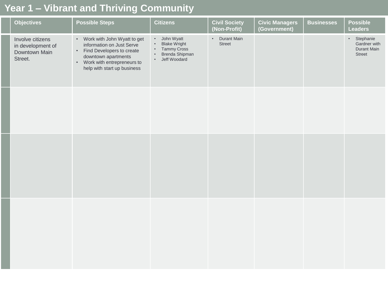## Year 1 - Vibrant and Thriving Community

| <b>Objectives</b>                                                 | <b>Possible Steps</b>                                                                                                                                                           | <b>Citizens</b>                                                                                            | <b>Civil Society</b><br>(Non-Profit) | <b>Civic Managers</b><br>(Government) | <b>Businesses</b> | <b>Possible</b><br><b>Leaders</b>                    |
|-------------------------------------------------------------------|---------------------------------------------------------------------------------------------------------------------------------------------------------------------------------|------------------------------------------------------------------------------------------------------------|--------------------------------------|---------------------------------------|-------------------|------------------------------------------------------|
| Involve citizens<br>in development of<br>Downtown Main<br>Street. | • Work with John Wyatt to get<br>information on Just Serve<br>• Find Developers to create<br>downtown apartments<br>• Work with entrepreneurs to<br>help with start up business | • John Wyatt<br><b>Blake Wright</b><br><b>Tammy Cross</b><br>Brenda Shipman<br>$\bullet$<br>• Jeff Woodard | Durant Main<br>$\bullet$ .<br>Street |                                       |                   | · Stephanie<br>Gardner with<br>Durant Main<br>Street |
|                                                                   |                                                                                                                                                                                 |                                                                                                            |                                      |                                       |                   |                                                      |
|                                                                   |                                                                                                                                                                                 |                                                                                                            |                                      |                                       |                   |                                                      |
|                                                                   |                                                                                                                                                                                 |                                                                                                            |                                      |                                       |                   |                                                      |